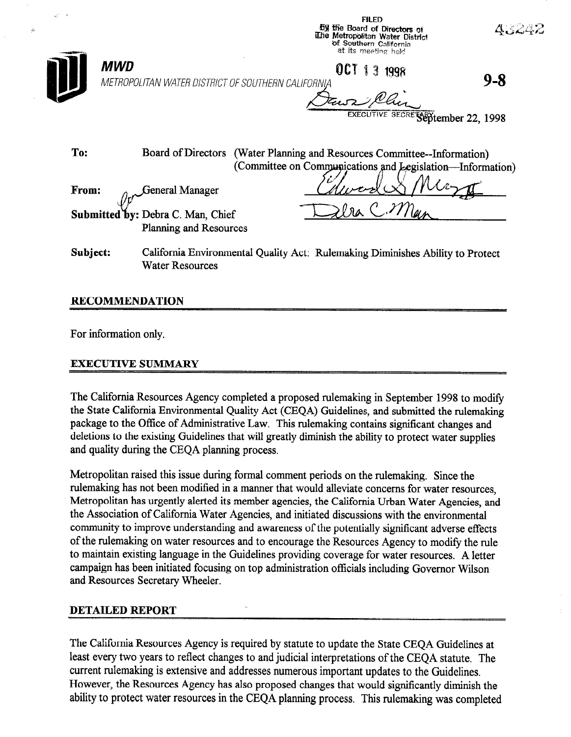|          |                                                                    | FILED<br>by the Board of Directors of<br>The Metropolitan Water District<br>of Southern California<br>at its meeting held |         |
|----------|--------------------------------------------------------------------|---------------------------------------------------------------------------------------------------------------------------|---------|
| MWD      | METROPOLITAN WATER DISTRICT OF SOUTHERN CALIFORNIA                 | OCT 1 3 1998                                                                                                              | $9 - 8$ |
|          |                                                                    | EXECUTIVE SECRETARY tember 22, 1998                                                                                       |         |
| To:      | Board of Directors                                                 | (Water Planning and Resources Committee--Information)<br>(Committee on Communications and Legislation-Information)        |         |
| From:    | General Manager                                                    |                                                                                                                           |         |
|          | Submitted by: Debra C. Man, Chief<br><b>Planning and Resources</b> |                                                                                                                           |         |
| Subject: | <b>Water Resources</b>                                             | California Environmental Quality Act: Rulemaking Diminishes Ability to Protect                                            |         |

 $\mathcal Z$ 

## RECOMMENDATION

For information only.

 $\mathcal{L}^{(1)}$  ,  $\mathcal{L}$ 

z.

## EXECUTIVE SUMMARY

The California Resources Agency completed a proposed rulemaking in September 1998 to modify the State California Environmental Quality Act (CEQA) Guidelines, and submitted the rulemaking package to the Office of Administrative Law. This rulemaking contains significant changes and deletions to the existing Guidelines that will greatly diminish the ability to protect water supplies and quality during the CEQA planning process.

Metropolitan raised this issue during formal comment periods on the rulemaking. Since the rulemaking has not been modified in a manner that would alleviate concerns for water resources, Metropolitan has urgently alerted its member agencies, the California Urban Water Agencies, and the Association of California Water Agencies, and initiated discussions with the environmental community to improve understanding and awareness of the potentially significant adverse effects of the rulemaking on water resources and to encourage the Resources Agency to modify the rule to maintain existing language in the Guidelines providing coverage for water resources. A letter campaign has been initiated focusing on top administration officials including Governor Wilson and Resources Secretary Wheeler.

## DETAILED REPORT

The California Resources Agency is required by statute to update the State CEQA Guidelines at least every two years to reflect changes to and judicial interpretations of the CEQA statute. The current rulemaking is extensive and addresses numerous important updates to the Guidelines. However, the Resources Agency has also proposed changes that would significantly diminish the ability to protect water resources in the CEQA planning process. This rulemaking was completed